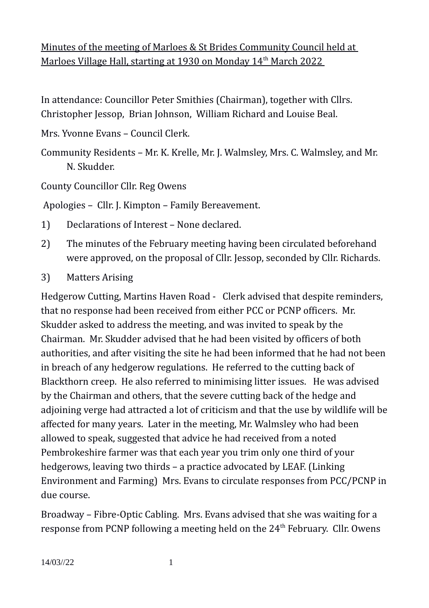# Minutes of the meeting of Marloes & St Brides Community Council held at Marloes Village Hall, starting at 1930 on Monday 14<sup>th</sup> March 2022

In attendance: Councillor Peter Smithies (Chairman), together with Cllrs. Christopher Jessop, Brian Johnson, William Richard and Louise Beal.

Mrs. Yvonne Evans – Council Clerk.

Community Residents – Mr. K. Krelle, Mr. J. Walmsley, Mrs. C. Walmsley, and Mr. N. Skudder.

County Councillor Cllr. Reg Owens

Apologies – Cllr. J. Kimpton – Family Bereavement.

- 1) Declarations of Interest None declared.
- 2) The minutes of the February meeting having been circulated beforehand were approved, on the proposal of Cllr. Jessop, seconded by Cllr. Richards.
- 3) Matters Arising

Hedgerow Cutting, Martins Haven Road - Clerk advised that despite reminders, that no response had been received from either PCC or PCNP officers. Mr. Skudder asked to address the meeting, and was invited to speak by the Chairman. Mr. Skudder advised that he had been visited by officers of both authorities, and after visiting the site he had been informed that he had not been in breach of any hedgerow regulations. He referred to the cutting back of Blackthorn creep. He also referred to minimising litter issues. He was advised by the Chairman and others, that the severe cutting back of the hedge and adjoining verge had attracted a lot of criticism and that the use by wildlife will be affected for many years. Later in the meeting, Mr. Walmsley who had been allowed to speak, suggested that advice he had received from a noted Pembrokeshire farmer was that each year you trim only one third of your hedgerows, leaving two thirds – a practice advocated by LEAF. (Linking Environment and Farming) Mrs. Evans to circulate responses from PCC/PCNP in due course.

Broadway – Fibre-Optic Cabling. Mrs. Evans advised that she was waiting for a response from PCNP following a meeting held on the  $24<sup>th</sup>$  February. Cllr. Owens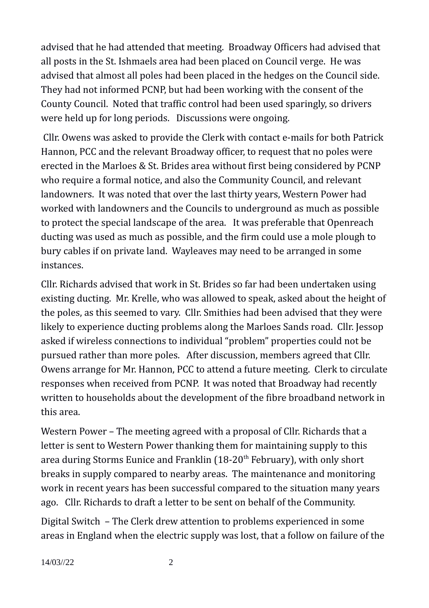advised that he had attended that meeting. Broadway Officers had advised that all posts in the St. Ishmaels area had been placed on Council verge. He was advised that almost all poles had been placed in the hedges on the Council side. They had not informed PCNP, but had been working with the consent of the County Council. Noted that traffic control had been used sparingly, so drivers were held up for long periods. Discussions were ongoing.

 Cllr. Owens was asked to provide the Clerk with contact e-mails for both Patrick Hannon, PCC and the relevant Broadway officer, to request that no poles were erected in the Marloes & St. Brides area without first being considered by PCNP who require a formal notice, and also the Community Council, and relevant landowners. It was noted that over the last thirty years, Western Power had worked with landowners and the Councils to underground as much as possible to protect the special landscape of the area. It was preferable that Openreach ducting was used as much as possible, and the firm could use a mole plough to bury cables if on private land. Wayleaves may need to be arranged in some instances.

Cllr. Richards advised that work in St. Brides so far had been undertaken using existing ducting. Mr. Krelle, who was allowed to speak, asked about the height of the poles, as this seemed to vary. Cllr. Smithies had been advised that they were likely to experience ducting problems along the Marloes Sands road. Cllr. Jessop asked if wireless connections to individual "problem" properties could not be pursued rather than more poles. After discussion, members agreed that Cllr. Owens arrange for Mr. Hannon, PCC to attend a future meeting. Clerk to circulate responses when received from PCNP. It was noted that Broadway had recently written to households about the development of the fibre broadband network in this area.

Western Power – The meeting agreed with a proposal of Cllr. Richards that a letter is sent to Western Power thanking them for maintaining supply to this area during Storms Eunice and Franklin  $(18-20<sup>th</sup>$  February), with only short breaks in supply compared to nearby areas. The maintenance and monitoring work in recent years has been successful compared to the situation many years ago. Cllr. Richards to draft a letter to be sent on behalf of the Community.

Digital Switch – The Clerk drew attention to problems experienced in some areas in England when the electric supply was lost, that a follow on failure of the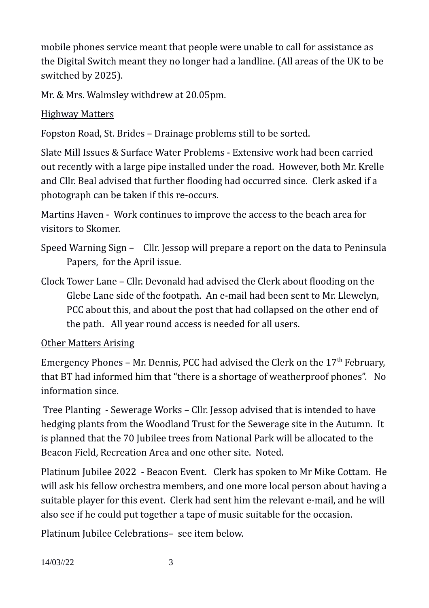mobile phones service meant that people were unable to call for assistance as the Digital Switch meant they no longer had a landline. (All areas of the UK to be switched by 2025).

Mr. & Mrs. Walmsley withdrew at 20.05pm.

### Highway Matters

Fopston Road, St. Brides – Drainage problems still to be sorted.

Slate Mill Issues & Surface Water Problems - Extensive work had been carried out recently with a large pipe installed under the road. However, both Mr. Krelle and Cllr. Beal advised that further flooding had occurred since. Clerk asked if a photograph can be taken if this re-occurs.

Martins Haven - Work continues to improve the access to the beach area for visitors to Skomer.

- Speed Warning Sign Cllr. Jessop will prepare a report on the data to Peninsula Papers, for the April issue.
- Clock Tower Lane Cllr. Devonald had advised the Clerk about flooding on the Glebe Lane side of the footpath. An e-mail had been sent to Mr. Llewelyn, PCC about this, and about the post that had collapsed on the other end of the path. All year round access is needed for all users.

Other Matters Arising

Emergency Phones – Mr. Dennis, PCC had advised the Clerk on the  $17<sup>th</sup>$  February, that BT had informed him that "there is a shortage of weatherproof phones". No information since.

 Tree Planting - Sewerage Works – Cllr. Jessop advised that is intended to have hedging plants from the Woodland Trust for the Sewerage site in the Autumn. It is planned that the 70 Jubilee trees from National Park will be allocated to the Beacon Field, Recreation Area and one other site. Noted.

Platinum Jubilee 2022 - Beacon Event. Clerk has spoken to Mr Mike Cottam. He will ask his fellow orchestra members, and one more local person about having a suitable player for this event. Clerk had sent him the relevant e-mail, and he will also see if he could put together a tape of music suitable for the occasion.

Platinum Jubilee Celebrations– see item below.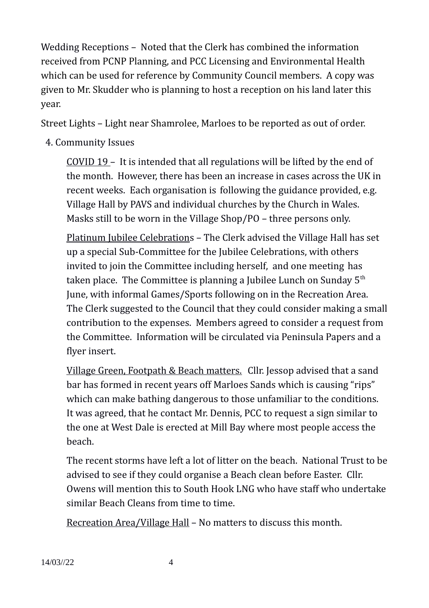Wedding Receptions – Noted that the Clerk has combined the information received from PCNP Planning, and PCC Licensing and Environmental Health which can be used for reference by Community Council members. A copy was given to Mr. Skudder who is planning to host a reception on his land later this year.

Street Lights – Light near Shamrolee, Marloes to be reported as out of order.

## 4. Community Issues

COVID 19 – It is intended that all regulations will be lifted by the end of the month. However, there has been an increase in cases across the UK in recent weeks. Each organisation is following the guidance provided, e.g. Village Hall by PAVS and individual churches by the Church in Wales. Masks still to be worn in the Village Shop/PO – three persons only.

Platinum Jubilee Celebrations – The Clerk advised the Village Hall has set up a special Sub-Committee for the Jubilee Celebrations, with others invited to join the Committee including herself, and one meeting has taken place. The Committee is planning a Jubilee Lunch on Sunday  $5<sup>th</sup>$ June, with informal Games/Sports following on in the Recreation Area. The Clerk suggested to the Council that they could consider making a small contribution to the expenses. Members agreed to consider a request from the Committee. Information will be circulated via Peninsula Papers and a flyer insert.

Village Green, Footpath & Beach matters. Cllr. Jessop advised that a sand bar has formed in recent years off Marloes Sands which is causing "rips" which can make bathing dangerous to those unfamiliar to the conditions. It was agreed, that he contact Mr. Dennis, PCC to request a sign similar to the one at West Dale is erected at Mill Bay where most people access the beach.

The recent storms have left a lot of litter on the beach. National Trust to be advised to see if they could organise a Beach clean before Easter. Cllr. Owens will mention this to South Hook LNG who have staff who undertake similar Beach Cleans from time to time.

Recreation Area/Village Hall – No matters to discuss this month.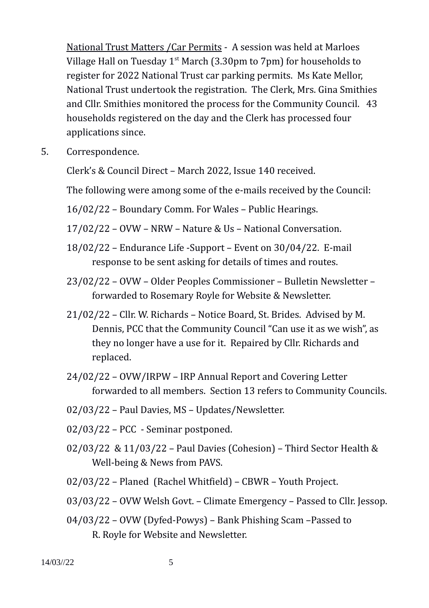National Trust Matters /Car Permits - A session was held at Marloes Village Hall on Tuesday  $1^{st}$  March (3.30pm to 7pm) for households to register for 2022 National Trust car parking permits. Ms Kate Mellor, National Trust undertook the registration. The Clerk, Mrs. Gina Smithies and Cllr. Smithies monitored the process for the Community Council. 43 households registered on the day and the Clerk has processed four applications since.

5. Correspondence.

Clerk's & Council Direct – March 2022, Issue 140 received.

The following were among some of the e-mails received by the Council:

16/02/22 – Boundary Comm. For Wales – Public Hearings.

17/02/22 – OVW – NRW – Nature & Us – National Conversation.

- 18/02/22 Endurance Life -Support Event on 30/04/22. E-mail response to be sent asking for details of times and routes.
- 23/02/22 OVW Older Peoples Commissioner Bulletin Newsletter forwarded to Rosemary Royle for Website & Newsletter.
- 21/02/22 Cllr. W. Richards Notice Board, St. Brides. Advised by M. Dennis, PCC that the Community Council "Can use it as we wish", as they no longer have a use for it. Repaired by Cllr. Richards and replaced.
- 24/02/22 OVW/IRPW IRP Annual Report and Covering Letter forwarded to all members. Section 13 refers to Community Councils.
- 02/03/22 Paul Davies, MS Updates/Newsletter.
- 02/03/22 PCC Seminar postponed.
- 02/03/22 & 11/03/22 Paul Davies (Cohesion) Third Sector Health & Well-being & News from PAVS.
- 02/03/22 Planed (Rachel Whitfield) CBWR Youth Project.
- 03/03/22 OVW Welsh Govt. Climate Emergency Passed to Cllr. Jessop.
- 04/03/22 OVW (Dyfed-Powys) Bank Phishing Scam –Passed to R. Royle for Website and Newsletter.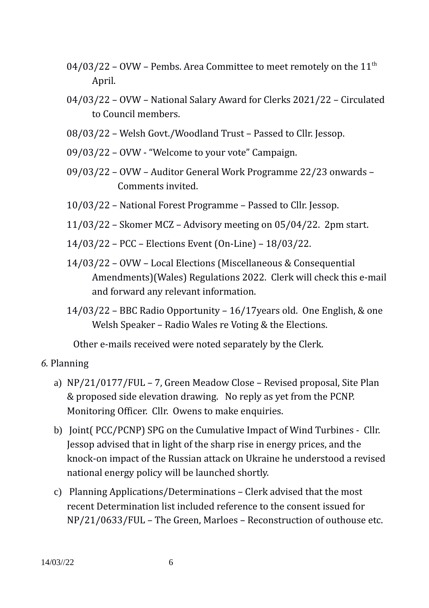- $04/03/22$  OVW Pembs. Area Committee to meet remotely on the  $11<sup>th</sup>$ April.
- 04/03/22 OVW National Salary Award for Clerks 2021/22 Circulated to Council members.
- 08/03/22 Welsh Govt./Woodland Trust Passed to Cllr. Jessop.
- 09/03/22 OVW "Welcome to your vote" Campaign.
- 09/03/22 OVW Auditor General Work Programme 22/23 onwards Comments invited.
- 10/03/22 National Forest Programme Passed to Cllr. Jessop.
- 11/03/22 Skomer MCZ Advisory meeting on 05/04/22. 2pm start.
- 14/03/22 PCC Elections Event (On-Line) 18/03/22.
- 14/03/22 OVW Local Elections (Miscellaneous & Consequential Amendments)(Wales) Regulations 2022. Clerk will check this e-mail and forward any relevant information.
- 14/03/22 BBC Radio Opportunity 16/17years old. One English, & one Welsh Speaker – Radio Wales re Voting & the Elections.

Other e-mails received were noted separately by the Clerk.

#### *6.* Planning

- a) NP/21/0177/FUL 7, Green Meadow Close Revised proposal, Site Plan & proposed side elevation drawing. No reply as yet from the PCNP. Monitoring Officer. Cllr. Owens to make enquiries.
- b) Joint( PCC/PCNP) SPG on the Cumulative Impact of Wind Turbines Cllr. Jessop advised that in light of the sharp rise in energy prices, and the knock-on impact of the Russian attack on Ukraine he understood a revised national energy policy will be launched shortly.
- c) Planning Applications/Determinations Clerk advised that the most recent Determination list included reference to the consent issued for NP/21/0633/FUL – The Green, Marloes – Reconstruction of outhouse etc.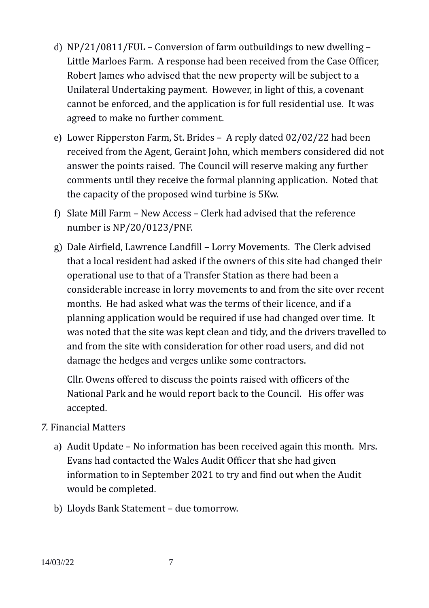- d) NP/21/0811/FUL Conversion of farm outbuildings to new dwelling Little Marloes Farm. A response had been received from the Case Officer, Robert James who advised that the new property will be subject to a Unilateral Undertaking payment. However, in light of this, a covenant cannot be enforced, and the application is for full residential use. It was agreed to make no further comment.
- e) Lower Ripperston Farm, St. Brides A reply dated 02/02/22 had been received from the Agent, Geraint John, which members considered did not answer the points raised. The Council will reserve making any further comments until they receive the formal planning application. Noted that the capacity of the proposed wind turbine is 5Kw.
- f) Slate Mill Farm New Access Clerk had advised that the reference number is NP/20/0123/PNF.
- g) Dale Airfield, Lawrence Landfill Lorry Movements. The Clerk advised that a local resident had asked if the owners of this site had changed their operational use to that of a Transfer Station as there had been a considerable increase in lorry movements to and from the site over recent months. He had asked what was the terms of their licence, and if a planning application would be required if use had changed over time. It was noted that the site was kept clean and tidy, and the drivers travelled to and from the site with consideration for other road users, and did not damage the hedges and verges unlike some contractors.

Cllr. Owens offered to discuss the points raised with officers of the National Park and he would report back to the Council. His offer was accepted.

#### *7.* Financial Matters

- a) Audit Update No information has been received again this month. Mrs. Evans had contacted the Wales Audit Officer that she had given information to in September 2021 to try and find out when the Audit would be completed.
- b) Lloyds Bank Statement due tomorrow.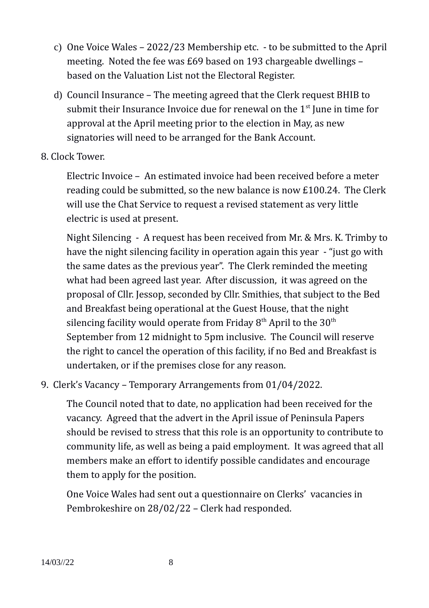- c) One Voice Wales 2022/23 Membership etc. to be submitted to the April meeting. Noted the fee was £69 based on 193 chargeable dwellings – based on the Valuation List not the Electoral Register.
- d) Council Insurance The meeting agreed that the Clerk request BHIB to submit their Insurance Invoice due for renewal on the  $1<sup>st</sup>$  June in time for approval at the April meeting prior to the election in May, as new signatories will need to be arranged for the Bank Account.
- 8. Clock Tower.

Electric Invoice – An estimated invoice had been received before a meter reading could be submitted, so the new balance is now £100.24. The Clerk will use the Chat Service to request a revised statement as very little electric is used at present.

Night Silencing - A request has been received from Mr. & Mrs. K. Trimby to have the night silencing facility in operation again this year - "just go with the same dates as the previous year". The Clerk reminded the meeting what had been agreed last year. After discussion, it was agreed on the proposal of Cllr. Jessop, seconded by Cllr. Smithies, that subject to the Bed and Breakfast being operational at the Guest House, that the night silencing facility would operate from Friday  $8<sup>th</sup>$  April to the  $30<sup>th</sup>$ September from 12 midnight to 5pm inclusive. The Council will reserve the right to cancel the operation of this facility, if no Bed and Breakfast is undertaken, or if the premises close for any reason.

9. Clerk's Vacancy – Temporary Arrangements from 01/04/2022.

The Council noted that to date, no application had been received for the vacancy. Agreed that the advert in the April issue of Peninsula Papers should be revised to stress that this role is an opportunity to contribute to community life, as well as being a paid employment. It was agreed that all members make an effort to identify possible candidates and encourage them to apply for the position.

One Voice Wales had sent out a questionnaire on Clerks' vacancies in Pembrokeshire on 28/02/22 – Clerk had responded.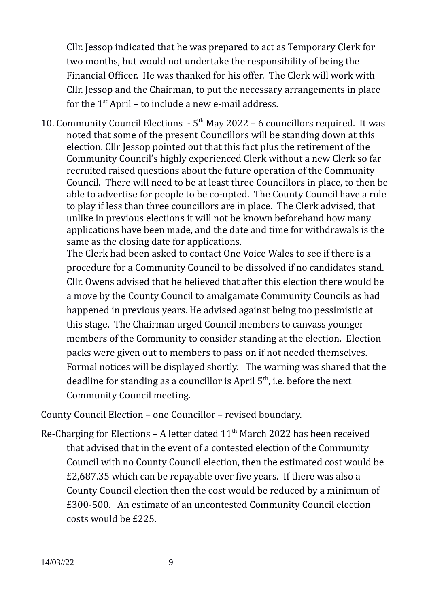Cllr. Jessop indicated that he was prepared to act as Temporary Clerk for two months, but would not undertake the responsibility of being the Financial Officer. He was thanked for his offer. The Clerk will work with Cllr. Jessop and the Chairman, to put the necessary arrangements in place for the  $1<sup>st</sup>$  April – to include a new e-mail address.

10. Community Council Elections  $-5<sup>th</sup>$  May 2022 – 6 councillors required. It was noted that some of the present Councillors will be standing down at this election. Cllr Jessop pointed out that this fact plus the retirement of the Community Council's highly experienced Clerk without a new Clerk so far recruited raised questions about the future operation of the Community Council. There will need to be at least three Councillors in place, to then be able to advertise for people to be co-opted. The County Council have a role to play if less than three councillors are in place. The Clerk advised, that unlike in previous elections it will not be known beforehand how many applications have been made, and the date and time for withdrawals is the same as the closing date for applications.

The Clerk had been asked to contact One Voice Wales to see if there is a procedure for a Community Council to be dissolved if no candidates stand. Cllr. Owens advised that he believed that after this election there would be a move by the County Council to amalgamate Community Councils as had happened in previous years. He advised against being too pessimistic at this stage. The Chairman urged Council members to canvass younger members of the Community to consider standing at the election. Election packs were given out to members to pass on if not needed themselves. Formal notices will be displayed shortly. The warning was shared that the deadline for standing as a councillor is April  $5<sup>th</sup>$ , i.e. before the next Community Council meeting.

County Council Election – one Councillor – revised boundary.

Re-Charging for Elections – A letter dated  $11<sup>th</sup>$  March 2022 has been received that advised that in the event of a contested election of the Community Council with no County Council election, then the estimated cost would be £2,687.35 which can be repayable over five years. If there was also a County Council election then the cost would be reduced by a minimum of £300-500. An estimate of an uncontested Community Council election costs would be £225.